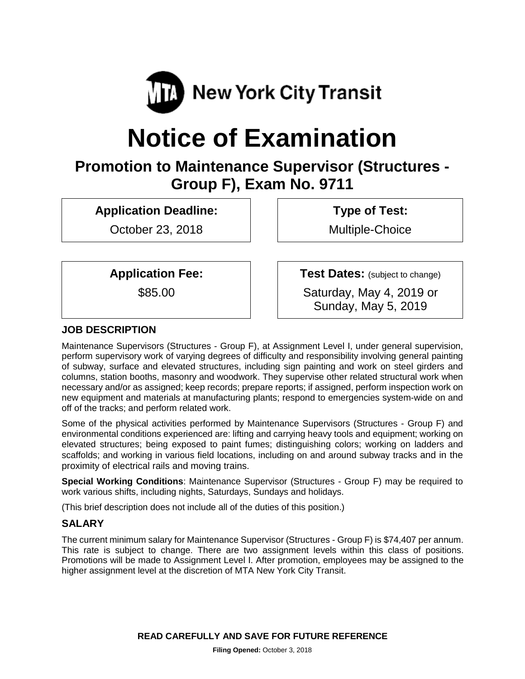

# **Notice of Examination**

# **Promotion to Maintenance Supervisor (Structures - Group F), Exam No. 9711**

**Application Deadline:**

October 23, 2018

**Type of Test:** 

Multiple-Choice

**Application Fee:**

\$85.00

**Test Dates:** (subject to change) Saturday, May 4, 2019 or Sunday, May 5, 2019

## **JOB DESCRIPTION**

Maintenance Supervisors (Structures - Group F), at Assignment Level I, under general supervision, perform supervisory work of varying degrees of difficulty and responsibility involving general painting of subway, surface and elevated structures, including sign painting and work on steel girders and columns, station booths, masonry and woodwork. They supervise other related structural work when necessary and/or as assigned; keep records; prepare reports; if assigned, perform inspection work on new equipment and materials at manufacturing plants; respond to emergencies system-wide on and off of the tracks; and perform related work.

Some of the physical activities performed by Maintenance Supervisors (Structures - Group F) and environmental conditions experienced are: lifting and carrying heavy tools and equipment; working on elevated structures; being exposed to paint fumes; distinguishing colors; working on ladders and scaffolds; and working in various field locations, including on and around subway tracks and in the proximity of electrical rails and moving trains.

**Special Working Conditions**: Maintenance Supervisor (Structures - Group F) may be required to work various shifts, including nights, Saturdays, Sundays and holidays.

(This brief description does not include all of the duties of this position.)

#### **SALARY**

The current minimum salary for Maintenance Supervisor (Structures - Group F) is \$74,407 per annum. This rate is subject to change. There are two assignment levels within this class of positions. Promotions will be made to Assignment Level I. After promotion, employees may be assigned to the higher assignment level at the discretion of MTA New York City Transit.

**READ CAREFULLY AND SAVE FOR FUTURE REFERENCE**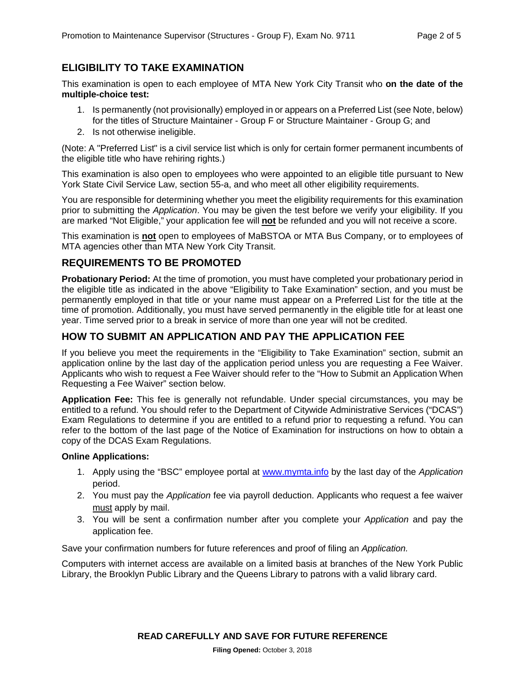#### **ELIGIBILITY TO TAKE EXAMINATION**

This examination is open to each employee of MTA New York City Transit who **on the date of the multiple-choice test:**

- 1. Is permanently (not provisionally) employed in or appears on a Preferred List (see Note, below) for the titles of Structure Maintainer - Group F or Structure Maintainer - Group G; and
- 2. Is not otherwise ineligible.

(Note: A "Preferred List" is a civil service list which is only for certain former permanent incumbents of the eligible title who have rehiring rights.)

This examination is also open to employees who were appointed to an eligible title pursuant to New York State Civil Service Law, section 55-a, and who meet all other eligibility requirements.

You are responsible for determining whether you meet the eligibility requirements for this examination prior to submitting the *Application*. You may be given the test before we verify your eligibility. If you are marked "Not Eligible," your application fee will **not** be refunded and you will not receive a score.

This examination is **not** open to employees of MaBSTOA or MTA Bus Company, or to employees of MTA agencies other than MTA New York City Transit.

#### **REQUIREMENTS TO BE PROMOTED**

**Probationary Period:** At the time of promotion, you must have completed your probationary period in the eligible title as indicated in the above "Eligibility to Take Examination" section, and you must be permanently employed in that title or your name must appear on a Preferred List for the title at the time of promotion. Additionally, you must have served permanently in the eligible title for at least one year. Time served prior to a break in service of more than one year will not be credited.

#### **HOW TO SUBMIT AN APPLICATION AND PAY THE APPLICATION FEE**

If you believe you meet the requirements in the "Eligibility to Take Examination" section, submit an application online by the last day of the application period unless you are requesting a Fee Waiver. Applicants who wish to request a Fee Waiver should refer to the "How to Submit an Application When Requesting a Fee Waiver" section below.

**Application Fee:** This fee is generally not refundable. Under special circumstances, you may be entitled to a refund. You should refer to the Department of Citywide Administrative Services ("DCAS") Exam Regulations to determine if you are entitled to a refund prior to requesting a refund. You can refer to the bottom of the last page of the Notice of Examination for instructions on how to obtain a copy of the DCAS Exam Regulations.

#### **Online Applications:**

- 1. Apply using the "BSC" employee portal at [www.mymta.info](http://www.mymta.info/) by the last day of the *Application*  period.
- 2. You must pay the *Application* fee via payroll deduction. Applicants who request a fee waiver must apply by mail.
- 3. You will be sent a confirmation number after you complete your *Application* and pay the application fee.

Save your confirmation numbers for future references and proof of filing an *Application.*

Computers with internet access are available on a limited basis at branches of the New York Public Library, the Brooklyn Public Library and the Queens Library to patrons with a valid library card.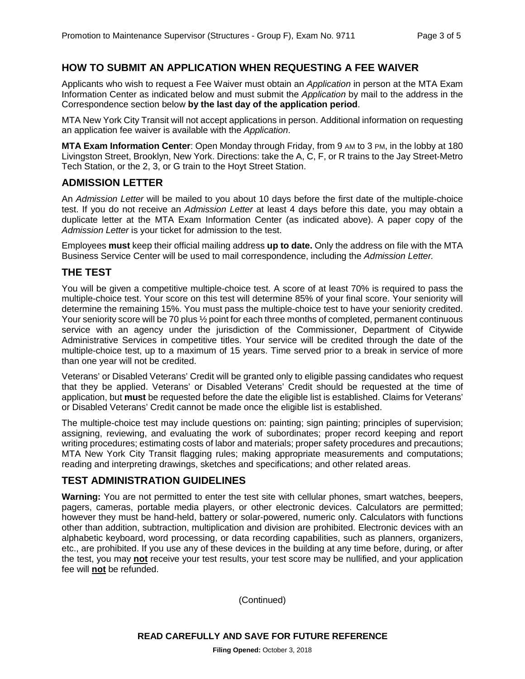#### **HOW TO SUBMIT AN APPLICATION WHEN REQUESTING A FEE WAIVER**

Applicants who wish to request a Fee Waiver must obtain an *Application* in person at the MTA Exam Information Center as indicated below and must submit the *Application* by mail to the address in the Correspondence section below **by the last day of the application period**.

MTA New York City Transit will not accept applications in person. Additional information on requesting an application fee waiver is available with the *Application*.

**MTA Exam Information Center**: Open Monday through Friday, from 9 AM to 3 PM, in the lobby at 180 Livingston Street, Brooklyn, New York. Directions: take the A, C, F, or R trains to the Jay Street-Metro Tech Station, or the 2, 3, or G train to the Hoyt Street Station.

#### **ADMISSION LETTER**

An *Admission Letter* will be mailed to you about 10 days before the first date of the multiple-choice test. If you do not receive an *Admission Letter* at least 4 days before this date, you may obtain a duplicate letter at the MTA Exam Information Center (as indicated above). A paper copy of the *Admission Letter* is your ticket for admission to the test.

Employees **must** keep their official mailing address **up to date.** Only the address on file with the MTA Business Service Center will be used to mail correspondence, including the *Admission Letter.*

#### **THE TEST**

You will be given a competitive multiple-choice test. A score of at least 70% is required to pass the multiple-choice test. Your score on this test will determine 85% of your final score. Your seniority will determine the remaining 15%. You must pass the multiple-choice test to have your seniority credited. Your seniority score will be 70 plus  $\frac{1}{2}$  point for each three months of completed, permanent continuous service with an agency under the jurisdiction of the Commissioner, Department of Citywide Administrative Services in competitive titles. Your service will be credited through the date of the multiple-choice test, up to a maximum of 15 years. Time served prior to a break in service of more than one year will not be credited.

Veterans' or Disabled Veterans' Credit will be granted only to eligible passing candidates who request that they be applied. Veterans' or Disabled Veterans' Credit should be requested at the time of application, but **must** be requested before the date the eligible list is established. Claims for Veterans' or Disabled Veterans' Credit cannot be made once the eligible list is established.

The multiple-choice test may include questions on: painting; sign painting; principles of supervision; assigning, reviewing, and evaluating the work of subordinates; proper record keeping and report writing procedures; estimating costs of labor and materials; proper safety procedures and precautions; MTA New York City Transit flagging rules; making appropriate measurements and computations; reading and interpreting drawings, sketches and specifications; and other related areas.

#### **TEST ADMINISTRATION GUIDELINES**

**Warning:** You are not permitted to enter the test site with cellular phones, smart watches, beepers, pagers, cameras, portable media players, or other electronic devices. Calculators are permitted; however they must be hand-held, battery or solar-powered, numeric only. Calculators with functions other than addition, subtraction, multiplication and division are prohibited. Electronic devices with an alphabetic keyboard, word processing, or data recording capabilities, such as planners, organizers, etc., are prohibited. If you use any of these devices in the building at any time before, during, or after the test, you may **not** receive your test results, your test score may be nullified, and your application fee will **not** be refunded.

(Continued)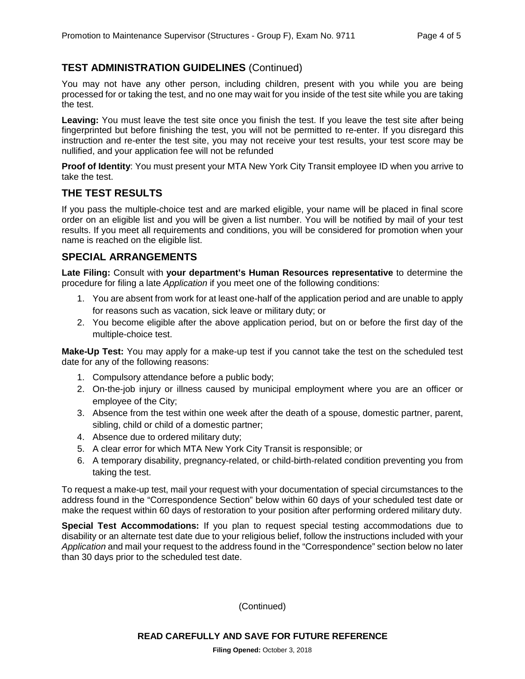## **TEST ADMINISTRATION GUIDELINES** (Continued)

You may not have any other person, including children, present with you while you are being processed for or taking the test, and no one may wait for you inside of the test site while you are taking the test.

**Leaving:** You must leave the test site once you finish the test. If you leave the test site after being fingerprinted but before finishing the test, you will not be permitted to re-enter. If you disregard this instruction and re-enter the test site, you may not receive your test results, your test score may be nullified, and your application fee will not be refunded

**Proof of Identity**: You must present your MTA New York City Transit employee ID when you arrive to take the test.

#### **THE TEST RESULTS**

If you pass the multiple-choice test and are marked eligible, your name will be placed in final score order on an eligible list and you will be given a list number. You will be notified by mail of your test results. If you meet all requirements and conditions, you will be considered for promotion when your name is reached on the eligible list.

#### **SPECIAL ARRANGEMENTS**

**Late Filing:** Consult with **your department's Human Resources representative** to determine the procedure for filing a late *Application* if you meet one of the following conditions:

- 1. You are absent from work for at least one-half of the application period and are unable to apply for reasons such as vacation, sick leave or military duty; or
- 2. You become eligible after the above application period, but on or before the first day of the multiple-choice test.

**Make-Up Test:** You may apply for a make-up test if you cannot take the test on the scheduled test date for any of the following reasons:

- 1. Compulsory attendance before a public body;
- 2. On-the-job injury or illness caused by municipal employment where you are an officer or employee of the City;
- 3. Absence from the test within one week after the death of a spouse, domestic partner, parent, sibling, child or child of a domestic partner;
- 4. Absence due to ordered military duty;
- 5. A clear error for which MTA New York City Transit is responsible; or
- 6. A temporary disability, pregnancy-related, or child-birth-related condition preventing you from taking the test.

To request a make-up test, mail your request with your documentation of special circumstances to the address found in the "Correspondence Section" below within 60 days of your scheduled test date or make the request within 60 days of restoration to your position after performing ordered military duty.

**Special Test Accommodations:** If you plan to request special testing accommodations due to disability or an alternate test date due to your religious belief, follow the instructions included with your *Application* and mail your request to the address found in the "Correspondence" section below no later than 30 days prior to the scheduled test date.

(Continued)